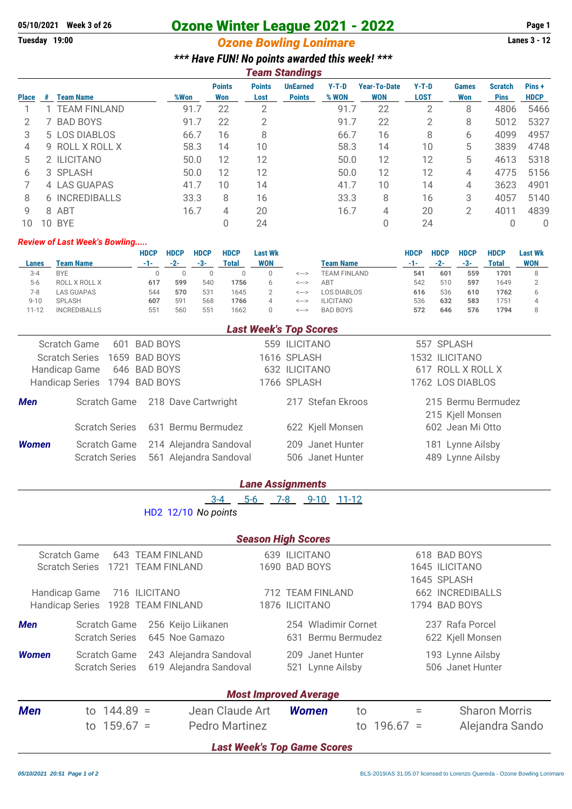# **05/10/2021** Week 3 of 26 **Ozone Winter League 2021 - 2022** Page 1<br> **Come Bowling Lonimare Caugust** Lanes 3 - 12

## **Ozone Bowling Lonimare**

|  |  | *** Have FUN! No points awarded this week! *** |  |  |
|--|--|------------------------------------------------|--|--|
|  |  | Taam Standinge                                 |  |  |

|                 |                                                                                                                                                             | <b>Points</b> | <b>Points</b> | <b>UnEarned</b> | $Y-T-D$       | <b>Year-To-Date</b>        | $Y-T-D$                                                    | <b>Games</b> | <b>Scratch</b> | Pins +<br><b>HDCP</b> |
|-----------------|-------------------------------------------------------------------------------------------------------------------------------------------------------------|---------------|---------------|-----------------|---------------|----------------------------|------------------------------------------------------------|--------------|----------------|-----------------------|
|                 | 91.7                                                                                                                                                        | 22            | 2             |                 |               | 22                         | 2                                                          | 8            | 4806           | 5466                  |
| <b>BAD BOYS</b> | 91.7                                                                                                                                                        | 22            | 2             |                 | 91.7          | 22                         | 2                                                          | 8            | 5012           | 5327                  |
|                 | 66.7                                                                                                                                                        | 16            | 8             |                 | 66.7          | 16                         | 8                                                          | 6            | 4099           | 4957                  |
| ROLL X ROLL X   | 58.3                                                                                                                                                        | 14            | 10            |                 |               | 14                         | 10                                                         | 5            | 3839           | 4748                  |
|                 | 50.0                                                                                                                                                        | 12            | 12            |                 |               | 12                         | 12                                                         | 5            | 4613           | 5318                  |
|                 | 50.0                                                                                                                                                        | 12            | 12            |                 |               | 12                         | 12                                                         | 4            | 4775           | 5156                  |
|                 | 41.7                                                                                                                                                        | 10            | 14            |                 | 41.7          | 10                         | 14                                                         | 4            | 3623           | 4901                  |
|                 | 33.3                                                                                                                                                        | 8             | 16            |                 |               | 8                          | 16                                                         | 3            | 4057           | 5140                  |
|                 | 16.7                                                                                                                                                        | 4             | 20            |                 |               | 4                          | 20                                                         | 2            | 4011           | 4839                  |
|                 |                                                                                                                                                             |               | 24            |                 |               | 0                          | 24                                                         |              |                | 0                     |
| #               | <b>Team Name</b><br>1 TEAM FINLAND<br>$\prime$<br>5 LOS DIABLOS<br>9<br>2 ILICITANO<br>3 SPLASH<br>4 LAS GUAPAS<br>6 INCREDIBALLS<br>8 ABT<br><b>10 BYE</b> | %Won          | Won           | Lost            | <b>Points</b> | I VAIII VWIIVIIVV<br>% WON | <b>WON</b><br>91.7<br>58.3<br>50.0<br>50.0<br>33.3<br>16.7 | <b>LOST</b>  | Won            | <b>Pins</b>           |

#### *Review of Last Week's Bowling.....*

|          |                     | HDCP | <b>HDCP</b>  | <b>HDCP</b>     | <b>HDCP</b> | Last Wk    |                  |                     | HDCP | <b>HDCP</b> | <b>HDCP</b> | <b>HDCP</b> | Last Wk    |
|----------|---------------------|------|--------------|-----------------|-------------|------------|------------------|---------------------|------|-------------|-------------|-------------|------------|
| Lanes    | Team Name           | -1-  | $-2-$        | -3-             | Total       | <b>WON</b> |                  | Team Name           | -1-  | $-2-$       | -3-         | Total       | <b>WON</b> |
| $3 - 4$  | <b>BYE</b>          |      |              |                 |             |            | <--->            | <b>TEAM FINLAND</b> | 541  | 601         | 559         | 1701        |            |
| $5-6$    | ROLL X ROLL X       | 617  | 599          | 540             | 1756        | 6          | <--->            | ABT                 | 542  | 510         | 597         | 1649        | $\Omega$   |
| 7-8      | LAS GUAPAS          | 544  | 570          | 53 <sup>°</sup> | 1645        |            | $\leftarrow$ $>$ | LOS DIABLOS         | 616  | 536         | 610         | 1762        |            |
| $9 - 10$ | <b>SPLASH</b>       | 607  | $59^{\circ}$ | 568             | 1766        | 4          | <--->            | <b>ILICITANO</b>    | 536  | 632         | 583         | 751         |            |
| 11-12    | <b>INCREDIBALLS</b> | 551  | 560          | 55              | 1662        |            | $\leftarrow$ $>$ | <b>BAD BOYS</b>     | 572  | 646         | 576         | 1794        | 8          |

#### *Last Week's Top Scores*

| Scratch Game          |                                       | 601 BAD BOYS                                     | 559 ILICITANO                        | 557 SPLASH                             |
|-----------------------|---------------------------------------|--------------------------------------------------|--------------------------------------|----------------------------------------|
| <b>Scratch Series</b> |                                       | 1659 BAD BOYS                                    | 1616 SPLASH                          | 1532 ILICITANO                         |
|                       | Handicap Game 646 BAD BOYS            |                                                  | 632 ILICITANO                        | 617 ROLL X ROLL X                      |
|                       | Handicap Series 1794 BAD BOYS         |                                                  | 1766 SPLASH                          | 1762 LOS DIABLOS                       |
| <b>Men</b>            |                                       | Scratch Game 218 Dave Cartwright                 | 217 Stefan Ekroos                    | 215 Bermu Bermudez<br>215 Kjell Monsen |
|                       | <b>Scratch Series</b>                 | 631 Bermu Bermudez                               | 622 Kjell Monsen                     | 602 Jean Mi Otto                       |
| <b>Women</b>          | Scratch Game<br><b>Scratch Series</b> | 214 Alejandra Sandoval<br>561 Alejandra Sandoval | 209 Janet Hunter<br>506 Janet Hunter | 181 Lynne Ailsby<br>489 Lynne Ailsby   |

#### *Lane Assignments*

3-4 5-6 7-8 9-10 11-12

HD2 12/10 *No points*

### *Season High Scores*

| Scratch Game                               |                                                 | 643                 | <b>TEAM FINLAND</b> |                       |                    |                  | 639 ILICITANO                |                  |               |                         | 618 BAD BOYS         |  |  |
|--------------------------------------------|-------------------------------------------------|---------------------|---------------------|-----------------------|--------------------|------------------|------------------------------|------------------|---------------|-------------------------|----------------------|--|--|
| <b>Scratch Series</b><br>1721 TEAM FINLAND |                                                 |                     | 1690 BAD BOYS       |                       |                    | 1645 ILICITANO   |                              |                  |               |                         |                      |  |  |
|                                            |                                                 |                     |                     |                       |                    |                  |                              |                  | 1645 SPLASH   |                         |                      |  |  |
| Handicap Game                              |                                                 | 716 ILICITANO       |                     |                       |                    |                  | 712 TEAM FINLAND             |                  |               | <b>662 INCREDIBALLS</b> |                      |  |  |
| Handicap Series 1928 TEAM FINLAND          |                                                 |                     |                     |                       |                    |                  | 1876 ILICITANO               |                  |               |                         | 1794 BAD BOYS        |  |  |
| <b>Men</b>                                 |                                                 | <b>Scratch Game</b> |                     | 256 Keijo Liikanen    |                    |                  | 254 Wladimir Cornet          |                  |               |                         | 237 Rafa Porcel      |  |  |
|                                            | <b>Scratch Series</b>                           |                     |                     | 645 Noe Gamazo        | 631 Bermu Bermudez |                  |                              |                  |               | 622 Kjell Monsen        |                      |  |  |
| <b>Women</b>                               | 243 Alejandra Sandoval<br>Scratch Game          |                     |                     |                       |                    | 209 Janet Hunter |                              |                  |               | 193 Lynne Ailsby        |                      |  |  |
|                                            | 619 Alejandra Sandoval<br><b>Scratch Series</b> |                     |                     |                       | 521 Lynne Ailsby   |                  |                              | 506 Janet Hunter |               |                         |                      |  |  |
|                                            |                                                 |                     |                     |                       |                    |                  | <b>Most Improved Average</b> |                  |               |                         |                      |  |  |
|                                            |                                                 |                     |                     |                       |                    |                  |                              |                  |               |                         |                      |  |  |
| <b>Men</b>                                 |                                                 | to $144.89 =$       |                     | Jean Claude Art       |                    |                  | Women                        | to               |               | Ξ                       | <b>Sharon Morris</b> |  |  |
|                                            |                                                 | to $159.67 =$       |                     | <b>Pedro Martinez</b> |                    |                  |                              |                  | to $196.67 =$ |                         | Alejandra Sando      |  |  |
| <b>Last Week's Top Game Scores</b>         |                                                 |                     |                     |                       |                    |                  |                              |                  |               |                         |                      |  |  |